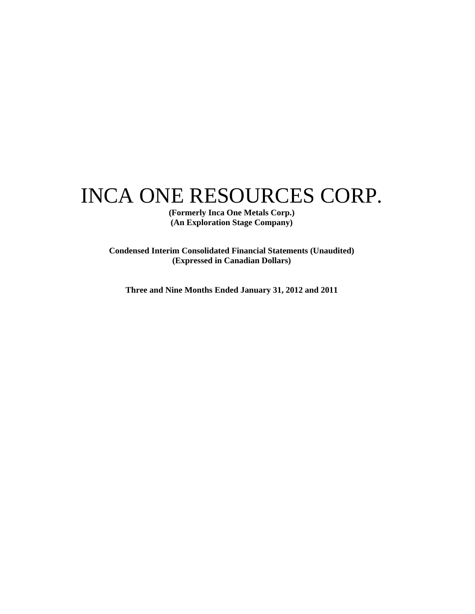# INCA ONE RESOURCES CORP.

**(Formerly Inca One Metals Corp.) (An Exploration Stage Company)** 

**Condensed Interim Consolidated Financial Statements (Unaudited) (Expressed in Canadian Dollars)** 

**Three and Nine Months Ended January 31, 2012 and 2011**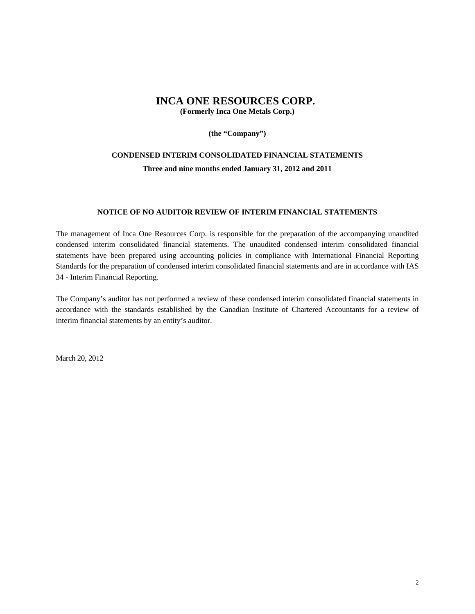### **INCA ONE RESOURCES CORP.**

**(Formerly Inca One Metals Corp.)** 

**(the "Company")** 

### **CONDENSED INTERIM CONSOLIDATED FINANCIAL STATEMENTS Three and nine months ended January 31, 2012 and 2011**

#### **NOTICE OF NO AUDITOR REVIEW OF INTERIM FINANCIAL STATEMENTS**

The management of Inca One Resources Corp. is responsible for the preparation of the accompanying unaudited condensed interim consolidated financial statements. The unaudited condensed interim consolidated financial statements have been prepared using accounting policies in compliance with International Financial Reporting Standards for the preparation of condensed interim consolidated financial statements and are in accordance with IAS 34 - Interim Financial Reporting.

The Company's auditor has not performed a review of these condensed interim consolidated financial statements in accordance with the standards established by the Canadian Institute of Chartered Accountants for a review of interim financial statements by an entity's auditor.

March 20, 2012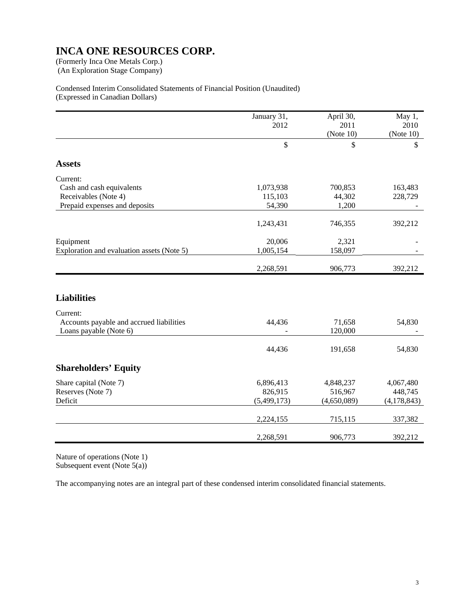(An Exploration Stage Company)

#### Condensed Interim Consolidated Statements of Financial Position (Unaudited) (Expressed in Canadian Dollars)

|                                            | January 31,  | April 30,   | May 1,        |
|--------------------------------------------|--------------|-------------|---------------|
|                                            | 2012         | 2011        | 2010          |
|                                            |              | (Note 10)   | (Note 10)     |
|                                            |              |             |               |
|                                            | $\mathbb{S}$ | \$          | \$            |
| <b>Assets</b>                              |              |             |               |
| Current:                                   |              |             |               |
| Cash and cash equivalents                  | 1,073,938    | 700,853     | 163,483       |
| Receivables (Note 4)                       | 115,103      | 44,302      | 228,729       |
| Prepaid expenses and deposits              | 54,390       | 1,200       |               |
|                                            | 1,243,431    | 746,355     | 392,212       |
| Equipment                                  | 20,006       | 2,321       |               |
| Exploration and evaluation assets (Note 5) | 1,005,154    | 158,097     |               |
|                                            | 2,268,591    | 906,773     | 392,212       |
|                                            |              |             |               |
| <b>Liabilities</b>                         |              |             |               |
| Current:                                   |              |             |               |
| Accounts payable and accrued liabilities   | 44,436       | 71,658      | 54,830        |
| Loans payable (Note 6)                     |              | 120,000     |               |
|                                            | 44,436       | 191,658     | 54,830        |
| <b>Shareholders' Equity</b>                |              |             |               |
| Share capital (Note 7)                     | 6,896,413    | 4,848,237   | 4,067,480     |
| Reserves (Note 7)                          | 826,915      | 516,967     | 448,745       |
| Deficit                                    | (5,499,173)  | (4,650,089) | (4, 178, 843) |
|                                            | 2,224,155    | 715,115     | 337,382       |
|                                            |              |             |               |
|                                            | 2,268,591    | 906,773     | 392,212       |

Nature of operations (Note 1) Subsequent event (Note  $5(a)$ )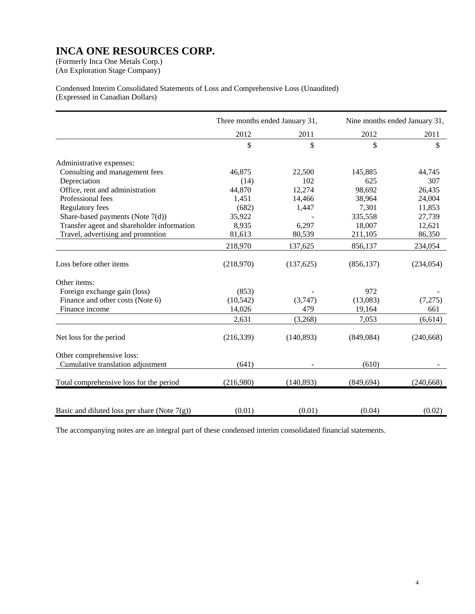(An Exploration Stage Company)

Condensed Interim Consolidated Statements of Loss and Comprehensive Loss (Unaudited) (Expressed in Canadian Dollars)

|                                                 | Three months ended January 31, |            |            | Nine months ended January 31, |
|-------------------------------------------------|--------------------------------|------------|------------|-------------------------------|
|                                                 | 2012                           | 2011       | 2012       | 2011                          |
|                                                 | \$                             | \$         | \$         | \$                            |
| Administrative expenses:                        |                                |            |            |                               |
| Consulting and management fees                  | 46,875                         | 22,500     | 145,885    | 44,745                        |
| Depreciation                                    | (14)                           | 102        | 625        | 307                           |
| Office, rent and administration                 | 44,870                         | 12,274     | 98,692     | 26,435                        |
| Professional fees                               | 1,451                          | 14,466     | 38,964     | 24,004                        |
| Regulatory fees                                 | (682)                          | 1,447      | 7,301      | 11,853                        |
| Share-based payments (Note 7(d))                | 35,922                         |            | 335,558    | 27,739                        |
| Transfer agent and shareholder information      | 8,935                          | 6,297      | 18,007     | 12,621                        |
| Travel, advertising and promotion               | 81,613                         | 80,539     | 211,105    | 86,350                        |
|                                                 | 218,970                        | 137,625    | 856,137    | 234,054                       |
| Loss before other items                         | (218,970)                      | (137, 625) | (856, 137) | (234, 054)                    |
| Other items:                                    |                                |            |            |                               |
| Foreign exchange gain (loss)                    | (853)                          |            | 972        |                               |
| Finance and other costs (Note 6)                | (10, 542)                      | (3,747)    | (13,083)   | (7,275)                       |
| Finance income                                  | 14,026                         | 479        | 19,164     | 661                           |
|                                                 | 2,631                          | (3,268)    | 7,053      | (6,614)                       |
| Net loss for the period                         | (216, 339)                     | (140, 893) | (849, 084) | (240, 668)                    |
| Other comprehensive loss:                       |                                |            |            |                               |
| Cumulative translation adjustment               | (641)                          |            | (610)      |                               |
| Total comprehensive loss for the period         | (216,980)                      | (140, 893) | (849, 694) | (240, 668)                    |
| Basic and diluted loss per share (Note $7(g)$ ) | (0.01)                         | (0.01)     | (0.04)     | (0.02)                        |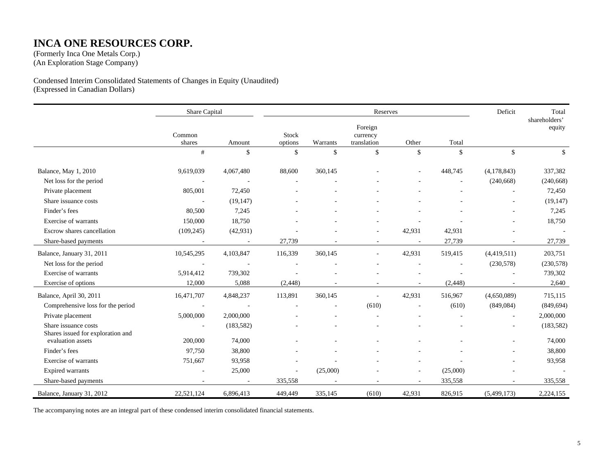### **INCA ONE RESOURCES CORP.**

(Formerly Inca One Metals Corp.) (An Exploration Stage Company)

Condensed Interim Consolidated Statements of Changes in Equity (Unaudited) (Expressed in Canadian Dollars)

|                                                           | Share Capital    |            |                  |          | Reserves                           |        |                          | Deficit     | Total                   |
|-----------------------------------------------------------|------------------|------------|------------------|----------|------------------------------------|--------|--------------------------|-------------|-------------------------|
|                                                           | Common<br>shares | Amount     | Stock<br>options | Warrants | Foreign<br>currency<br>translation | Other  | Total                    |             | shareholders'<br>equity |
|                                                           | #                | \$         | $\mathbb{S}$     | \$       | \$                                 | \$     | $\mathbb{S}$             | \$          | \$                      |
| Balance, May 1, 2010                                      | 9,619,039        | 4,067,480  | 88,600           | 360,145  |                                    |        | 448,745                  | (4,178,843) | 337,382                 |
| Net loss for the period                                   |                  |            |                  |          |                                    |        |                          | (240, 668)  | (240, 668)              |
| Private placement                                         | 805,001          | 72,450     |                  |          |                                    |        |                          |             | 72,450                  |
| Share issuance costs                                      | $\sim$           | (19, 147)  |                  |          |                                    |        |                          |             | (19, 147)               |
| Finder's fees                                             | 80,500           | 7,245      |                  |          |                                    |        |                          |             | 7,245                   |
| Exercise of warrants                                      | 150,000          | 18,750     |                  |          |                                    |        |                          |             | 18,750                  |
| Escrow shares cancellation                                | (109, 245)       | (42, 931)  |                  |          |                                    | 42,931 | 42,931                   |             | $\sim$                  |
| Share-based payments                                      |                  | ÷,         | 27,739           |          |                                    |        | 27,739                   |             | 27,739                  |
| Balance, January 31, 2011                                 | 10,545,295       | 4,103,847  | 116,339          | 360,145  | $\sim$                             | 42,931 | 519,415                  | (4,419,511) | 203,751                 |
| Net loss for the period                                   |                  |            |                  |          |                                    |        | $\overline{\phantom{a}}$ | (230,578)   | (230,578)               |
| Exercise of warrants                                      | 5,914,412        | 739,302    |                  |          |                                    |        |                          |             | 739,302                 |
| Exercise of options                                       | 12,000           | 5,088      | (2, 448)         |          |                                    |        | (2, 448)                 |             | 2,640                   |
| Balance, April 30, 2011                                   | 16,471,707       | 4,848,237  | 113,891          | 360,145  |                                    | 42,931 | 516,967                  | (4,650,089) | 715,115                 |
| Comprehensive loss for the period                         |                  |            |                  |          | (610)                              |        | (610)                    | (849, 084)  | (849, 694)              |
| Private placement                                         | 5,000,000        | 2,000,000  |                  |          |                                    |        |                          |             | 2,000,000               |
| Share issuance costs<br>Shares issued for exploration and |                  | (183, 582) |                  |          |                                    |        |                          |             | (183, 582)              |
| evaluation assets                                         | 200,000          | 74,000     |                  |          |                                    |        |                          |             | 74,000                  |
| Finder's fees                                             | 97,750           | 38,800     |                  |          |                                    |        |                          |             | 38,800                  |
| Exercise of warrants                                      | 751,667          | 93,958     |                  |          |                                    |        |                          |             | 93,958                  |
| <b>Expired warrants</b>                                   |                  | 25,000     |                  | (25,000) |                                    |        | (25,000)                 |             |                         |
| Share-based payments                                      |                  |            | 335,558          |          |                                    |        | 335,558                  |             | 335,558                 |
| Balance, January 31, 2012                                 | 22,521,124       | 6,896,413  | 449,449          | 335,145  | (610)                              | 42,931 | 826,915                  | (5,499,173) | 2,224,155               |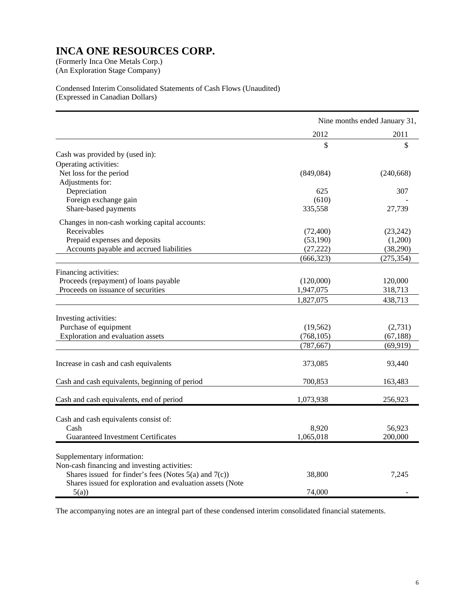(An Exploration Stage Company)

Condensed Interim Consolidated Statements of Cash Flows (Unaudited) (Expressed in Canadian Dollars)

|                                                            | Nine months ended January 31, |            |
|------------------------------------------------------------|-------------------------------|------------|
|                                                            | 2012                          | 2011       |
|                                                            | \$                            | \$         |
| Cash was provided by (used in):                            |                               |            |
| Operating activities:                                      |                               |            |
| Net loss for the period                                    | (849, 084)                    | (240, 668) |
| Adjustments for:                                           |                               |            |
| Depreciation                                               | 625                           | 307        |
| Foreign exchange gain                                      | (610)                         |            |
| Share-based payments                                       | 335,558                       | 27,739     |
| Changes in non-cash working capital accounts:              |                               |            |
| Receivables                                                | (72, 400)                     | (23, 242)  |
| Prepaid expenses and deposits                              | (53,190)                      | (1,200)    |
| Accounts payable and accrued liabilities                   | (27, 222)                     | (38,290)   |
|                                                            | (666, 323)                    | (275, 354) |
| Financing activities:                                      |                               |            |
| Proceeds (repayment) of loans payable                      | (120,000)                     | 120,000    |
| Proceeds on issuance of securities                         | 1,947,075                     | 318,713    |
|                                                            | 1,827,075                     | 438,713    |
|                                                            |                               |            |
| Investing activities:                                      |                               |            |
| Purchase of equipment                                      | (19, 562)                     | (2,731)    |
| Exploration and evaluation assets                          | (768, 105)                    | (67, 188)  |
|                                                            | (787, 667)                    | (69, 919)  |
| Increase in cash and cash equivalents                      | 373,085                       | 93,440     |
|                                                            |                               |            |
| Cash and cash equivalents, beginning of period             | 700,853                       | 163,483    |
| Cash and cash equivalents, end of period                   | 1,073,938                     | 256,923    |
|                                                            |                               |            |
| Cash and cash equivalents consist of:                      |                               |            |
| Cash                                                       | 8,920                         | 56,923     |
| <b>Guaranteed Investment Certificates</b>                  | 1,065,018                     | 200,000    |
| Supplementary information:                                 |                               |            |
| Non-cash financing and investing activities:               |                               |            |
| Shares issued for finder's fees (Notes $5(a)$ and $7(c)$ ) | 38,800                        | 7,245      |
| Shares issued for exploration and evaluation assets (Note  |                               |            |
| 5(a)                                                       | 74,000                        |            |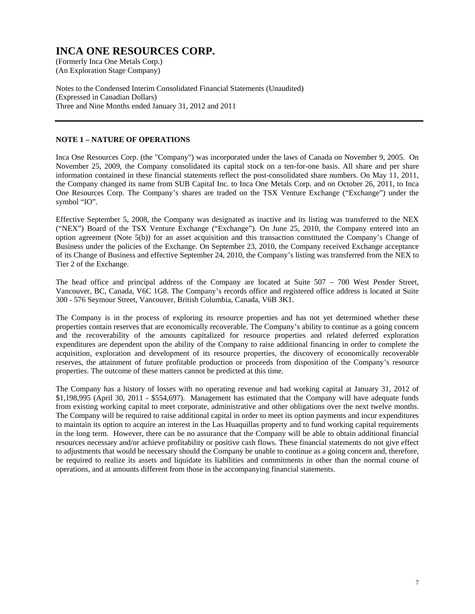(An Exploration Stage Company)

Notes to the Condensed Interim Consolidated Financial Statements (Unaudited) (Expressed in Canadian Dollars) Three and Nine Months ended January 31, 2012 and 2011

#### **NOTE 1 – NATURE OF OPERATIONS**

Inca One Resources Corp. (the "Company") was incorporated under the laws of Canada on November 9, 2005. On November 25, 2009, the Company consolidated its capital stock on a ten-for-one basis. All share and per share information contained in these financial statements reflect the post-consolidated share numbers. On May 11, 2011, the Company changed its name from SUB Capital Inc. to Inca One Metals Corp. and on October 26, 2011, to Inca One Resources Corp. The Company's shares are traded on the TSX Venture Exchange ("Exchange") under the symbol "IO".

Effective September 5, 2008, the Company was designated as inactive and its listing was transferred to the NEX ("NEX") Board of the TSX Venture Exchange ("Exchange"). On June 25, 2010, the Company entered into an option agreement (Note 5(b)) for an asset acquisition and this transaction constituted the Company's Change of Business under the policies of the Exchange. On September 23, 2010, the Company received Exchange acceptance of its Change of Business and effective September 24, 2010, the Company's listing was transferred from the NEX to Tier 2 of the Exchange.

The head office and principal address of the Company are located at Suite 507 – 700 West Pender Street, Vancouver, BC, Canada, V6C 1G8. The Company's records office and registered office address is located at Suite 300 - 576 Seymour Street, Vancouver, British Columbia, Canada, V6B 3K1.

The Company is in the process of exploring its resource properties and has not yet determined whether these properties contain reserves that are economically recoverable. The Company's ability to continue as a going concern and the recoverability of the amounts capitalized for resource properties and related deferred exploration expenditures are dependent upon the ability of the Company to raise additional financing in order to complete the acquisition, exploration and development of its resource properties, the discovery of economically recoverable reserves, the attainment of future profitable production or proceeds from disposition of the Company's resource properties. The outcome of these matters cannot be predicted at this time.

The Company has a history of losses with no operating revenue and had working capital at January 31, 2012 of \$1,198,995 (April 30, 2011 - \$554,697). Management has estimated that the Company will have adequate funds from existing working capital to meet corporate, administrative and other obligations over the next twelve months. The Company will be required to raise additional capital in order to meet its option payments and incur expenditures to maintain its option to acquire an interest in the Las Huaquillas property and to fund working capital requirements in the long term. However, there can be no assurance that the Company will be able to obtain additional financial resources necessary and/or achieve profitability or positive cash flows. These financial statements do not give effect to adjustments that would be necessary should the Company be unable to continue as a going concern and, therefore, be required to realize its assets and liquidate its liabilities and commitments in other than the normal course of operations, and at amounts different from those in the accompanying financial statements.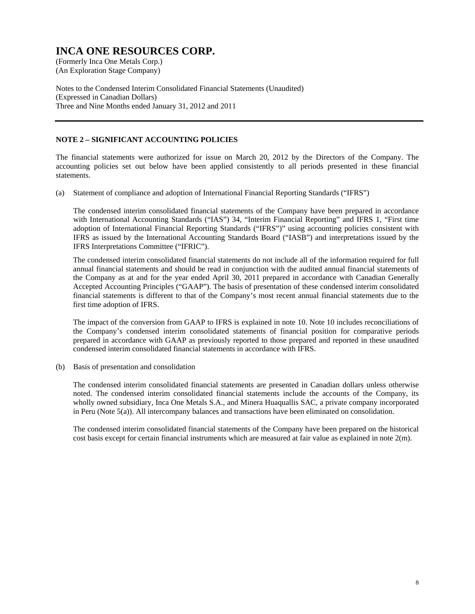(An Exploration Stage Company)

Notes to the Condensed Interim Consolidated Financial Statements (Unaudited) (Expressed in Canadian Dollars) Three and Nine Months ended January 31, 2012 and 2011

#### **NOTE 2 – SIGNIFICANT ACCOUNTING POLICIES**

The financial statements were authorized for issue on March 20, 2012 by the Directors of the Company. The accounting policies set out below have been applied consistently to all periods presented in these financial statements.

(a) Statement of compliance and adoption of International Financial Reporting Standards ("IFRS")

 The condensed interim consolidated financial statements of the Company have been prepared in accordance with International Accounting Standards ("IAS") 34, "Interim Financial Reporting" and IFRS 1, "First time adoption of International Financial Reporting Standards ("IFRS")" using accounting policies consistent with IFRS as issued by the International Accounting Standards Board ("IASB") and interpretations issued by the IFRS Interpretations Committee ("IFRIC").

 The condensed interim consolidated financial statements do not include all of the information required for full annual financial statements and should be read in conjunction with the audited annual financial statements of the Company as at and for the year ended April 30, 2011 prepared in accordance with Canadian Generally Accepted Accounting Principles ("GAAP"). The basis of presentation of these condensed interim consolidated financial statements is different to that of the Company's most recent annual financial statements due to the first time adoption of IFRS.

 The impact of the conversion from GAAP to IFRS is explained in note 10. Note 10 includes reconciliations of the Company's condensed interim consolidated statements of financial position for comparative periods prepared in accordance with GAAP as previously reported to those prepared and reported in these unaudited condensed interim consolidated financial statements in accordance with IFRS.

(b) Basis of presentation and consolidation

 The condensed interim consolidated financial statements are presented in Canadian dollars unless otherwise noted. The condensed interim consolidated financial statements include the accounts of the Company, its wholly owned subsidiary, Inca One Metals S.A., and Minera Huaquallis SAC, a private company incorporated in Peru (Note 5(a)). All intercompany balances and transactions have been eliminated on consolidation.

 The condensed interim consolidated financial statements of the Company have been prepared on the historical cost basis except for certain financial instruments which are measured at fair value as explained in note  $2(m)$ .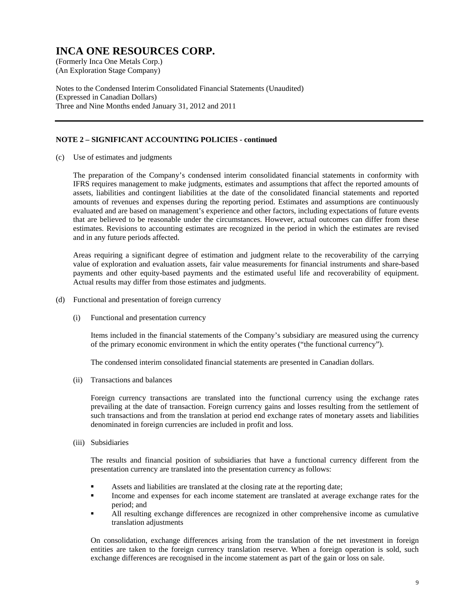(An Exploration Stage Company)

Notes to the Condensed Interim Consolidated Financial Statements (Unaudited) (Expressed in Canadian Dollars) Three and Nine Months ended January 31, 2012 and 2011

#### **NOTE 2 – SIGNIFICANT ACCOUNTING POLICIES - continued**

(c) Use of estimates and judgments

 The preparation of the Company's condensed interim consolidated financial statements in conformity with IFRS requires management to make judgments, estimates and assumptions that affect the reported amounts of assets, liabilities and contingent liabilities at the date of the consolidated financial statements and reported amounts of revenues and expenses during the reporting period. Estimates and assumptions are continuously evaluated and are based on management's experience and other factors, including expectations of future events that are believed to be reasonable under the circumstances. However, actual outcomes can differ from these estimates. Revisions to accounting estimates are recognized in the period in which the estimates are revised and in any future periods affected.

 Areas requiring a significant degree of estimation and judgment relate to the recoverability of the carrying value of exploration and evaluation assets, fair value measurements for financial instruments and share-based payments and other equity-based payments and the estimated useful life and recoverability of equipment. Actual results may differ from those estimates and judgments.

- (d) Functional and presentation of foreign currency
	- (i) Functional and presentation currency

Items included in the financial statements of the Company's subsidiary are measured using the currency of the primary economic environment in which the entity operates ("the functional currency").

The condensed interim consolidated financial statements are presented in Canadian dollars.

(ii) Transactions and balances

Foreign currency transactions are translated into the functional currency using the exchange rates prevailing at the date of transaction. Foreign currency gains and losses resulting from the settlement of such transactions and from the translation at period end exchange rates of monetary assets and liabilities denominated in foreign currencies are included in profit and loss.

(iii) Subsidiaries

The results and financial position of subsidiaries that have a functional currency different from the presentation currency are translated into the presentation currency as follows:

- Assets and liabilities are translated at the closing rate at the reporting date;
- Income and expenses for each income statement are translated at average exchange rates for the period; and
- All resulting exchange differences are recognized in other comprehensive income as cumulative translation adjustments

On consolidation, exchange differences arising from the translation of the net investment in foreign entities are taken to the foreign currency translation reserve. When a foreign operation is sold, such exchange differences are recognised in the income statement as part of the gain or loss on sale.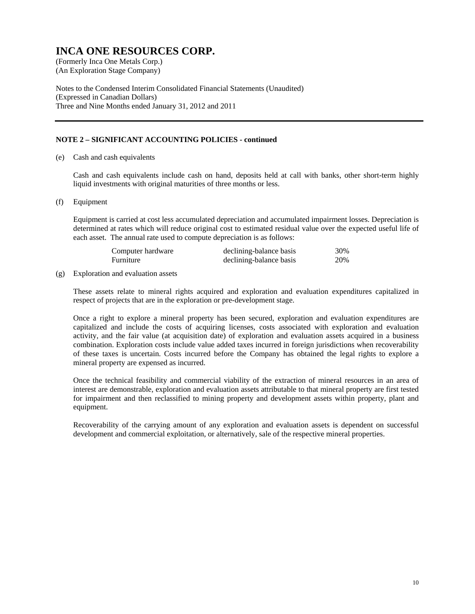(An Exploration Stage Company)

Notes to the Condensed Interim Consolidated Financial Statements (Unaudited) (Expressed in Canadian Dollars) Three and Nine Months ended January 31, 2012 and 2011

#### **NOTE 2 – SIGNIFICANT ACCOUNTING POLICIES - continued**

(e) Cash and cash equivalents

 Cash and cash equivalents include cash on hand, deposits held at call with banks, other short-term highly liquid investments with original maturities of three months or less.

(f) Equipment

Equipment is carried at cost less accumulated depreciation and accumulated impairment losses. Depreciation is determined at rates which will reduce original cost to estimated residual value over the expected useful life of each asset. The annual rate used to compute depreciation is as follows:

| Computer hardware | declining-balance basis | 30% |
|-------------------|-------------------------|-----|
| Furniture         | declining-balance basis | 20% |

#### (g) Exploration and evaluation assets

These assets relate to mineral rights acquired and exploration and evaluation expenditures capitalized in respect of projects that are in the exploration or pre-development stage.

Once a right to explore a mineral property has been secured, exploration and evaluation expenditures are capitalized and include the costs of acquiring licenses, costs associated with exploration and evaluation activity, and the fair value (at acquisition date) of exploration and evaluation assets acquired in a business combination. Exploration costs include value added taxes incurred in foreign jurisdictions when recoverability of these taxes is uncertain. Costs incurred before the Company has obtained the legal rights to explore a mineral property are expensed as incurred.

Once the technical feasibility and commercial viability of the extraction of mineral resources in an area of interest are demonstrable, exploration and evaluation assets attributable to that mineral property are first tested for impairment and then reclassified to mining property and development assets within property, plant and equipment.

Recoverability of the carrying amount of any exploration and evaluation assets is dependent on successful development and commercial exploitation, or alternatively, sale of the respective mineral properties.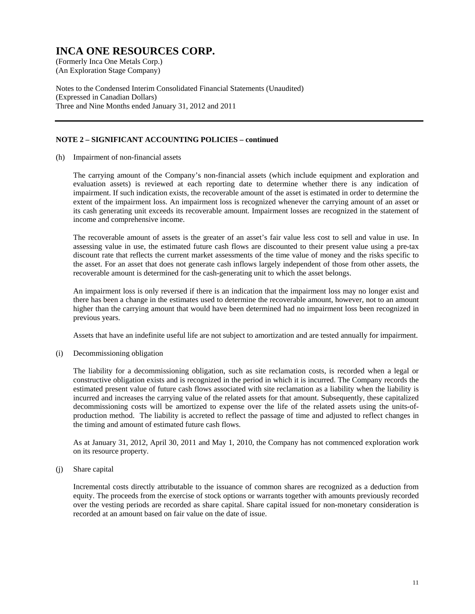(An Exploration Stage Company)

Notes to the Condensed Interim Consolidated Financial Statements (Unaudited) (Expressed in Canadian Dollars) Three and Nine Months ended January 31, 2012 and 2011

#### **NOTE 2 – SIGNIFICANT ACCOUNTING POLICIES – continued**

(h) Impairment of non-financial assets

The carrying amount of the Company's non-financial assets (which include equipment and exploration and evaluation assets) is reviewed at each reporting date to determine whether there is any indication of impairment. If such indication exists, the recoverable amount of the asset is estimated in order to determine the extent of the impairment loss. An impairment loss is recognized whenever the carrying amount of an asset or its cash generating unit exceeds its recoverable amount. Impairment losses are recognized in the statement of income and comprehensive income.

The recoverable amount of assets is the greater of an asset's fair value less cost to sell and value in use. In assessing value in use, the estimated future cash flows are discounted to their present value using a pre-tax discount rate that reflects the current market assessments of the time value of money and the risks specific to the asset. For an asset that does not generate cash inflows largely independent of those from other assets, the recoverable amount is determined for the cash-generating unit to which the asset belongs.

An impairment loss is only reversed if there is an indication that the impairment loss may no longer exist and there has been a change in the estimates used to determine the recoverable amount, however, not to an amount higher than the carrying amount that would have been determined had no impairment loss been recognized in previous years.

Assets that have an indefinite useful life are not subject to amortization and are tested annually for impairment.

(i) Decommissioning obligation

The liability for a decommissioning obligation, such as site reclamation costs, is recorded when a legal or constructive obligation exists and is recognized in the period in which it is incurred. The Company records the estimated present value of future cash flows associated with site reclamation as a liability when the liability is incurred and increases the carrying value of the related assets for that amount. Subsequently, these capitalized decommissioning costs will be amortized to expense over the life of the related assets using the units-ofproduction method. The liability is accreted to reflect the passage of time and adjusted to reflect changes in the timing and amount of estimated future cash flows.

As at January 31, 2012, April 30, 2011 and May 1, 2010, the Company has not commenced exploration work on its resource property.

#### (j) Share capital

Incremental costs directly attributable to the issuance of common shares are recognized as a deduction from equity. The proceeds from the exercise of stock options or warrants together with amounts previously recorded over the vesting periods are recorded as share capital. Share capital issued for non-monetary consideration is recorded at an amount based on fair value on the date of issue.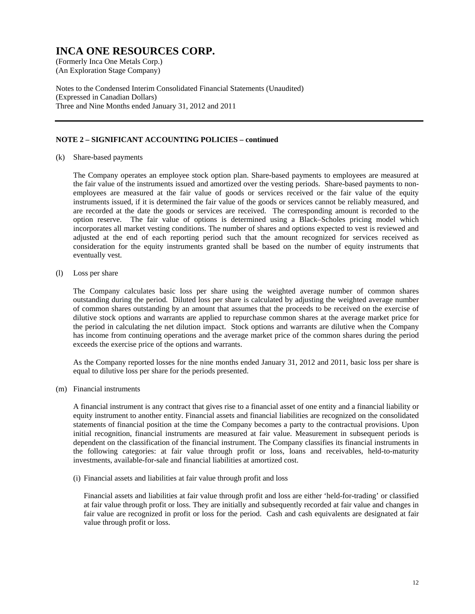(An Exploration Stage Company)

Notes to the Condensed Interim Consolidated Financial Statements (Unaudited) (Expressed in Canadian Dollars) Three and Nine Months ended January 31, 2012 and 2011

#### **NOTE 2 – SIGNIFICANT ACCOUNTING POLICIES – continued**

(k) Share-based payments

The Company operates an employee stock option plan. Share-based payments to employees are measured at the fair value of the instruments issued and amortized over the vesting periods. Share-based payments to nonemployees are measured at the fair value of goods or services received or the fair value of the equity instruments issued, if it is determined the fair value of the goods or services cannot be reliably measured, and are recorded at the date the goods or services are received. The corresponding amount is recorded to the option reserve. The fair value of options is determined using a Black–Scholes pricing model which incorporates all market vesting conditions. The number of shares and options expected to vest is reviewed and adjusted at the end of each reporting period such that the amount recognized for services received as consideration for the equity instruments granted shall be based on the number of equity instruments that eventually vest.

(l) Loss per share

The Company calculates basic loss per share using the weighted average number of common shares outstanding during the period. Diluted loss per share is calculated by adjusting the weighted average number of common shares outstanding by an amount that assumes that the proceeds to be received on the exercise of dilutive stock options and warrants are applied to repurchase common shares at the average market price for the period in calculating the net dilution impact. Stock options and warrants are dilutive when the Company has income from continuing operations and the average market price of the common shares during the period exceeds the exercise price of the options and warrants.

As the Company reported losses for the nine months ended January 31, 2012 and 2011, basic loss per share is equal to dilutive loss per share for the periods presented.

(m) Financial instruments

A financial instrument is any contract that gives rise to a financial asset of one entity and a financial liability or equity instrument to another entity. Financial assets and financial liabilities are recognized on the consolidated statements of financial position at the time the Company becomes a party to the contractual provisions. Upon initial recognition, financial instruments are measured at fair value. Measurement in subsequent periods is dependent on the classification of the financial instrument. The Company classifies its financial instruments in the following categories: at fair value through profit or loss, loans and receivables, held-to-maturity investments, available-for-sale and financial liabilities at amortized cost.

(i) Financial assets and liabilities at fair value through profit and loss

Financial assets and liabilities at fair value through profit and loss are either 'held-for-trading' or classified at fair value through profit or loss. They are initially and subsequently recorded at fair value and changes in fair value are recognized in profit or loss for the period. Cash and cash equivalents are designated at fair value through profit or loss.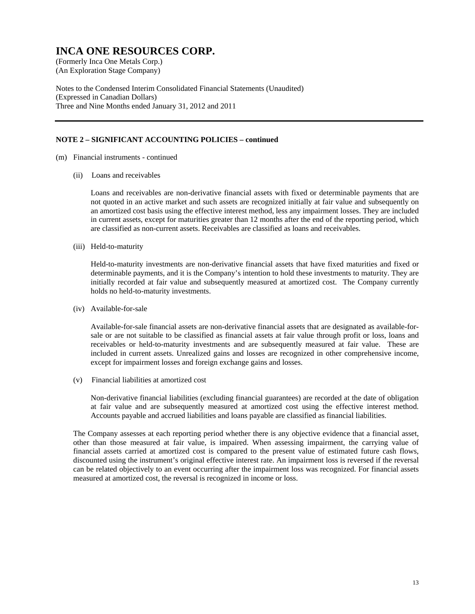(An Exploration Stage Company)

Notes to the Condensed Interim Consolidated Financial Statements (Unaudited) (Expressed in Canadian Dollars) Three and Nine Months ended January 31, 2012 and 2011

#### **NOTE 2 – SIGNIFICANT ACCOUNTING POLICIES – continued**

- (m) Financial instruments continued
	- (ii) Loans and receivables

Loans and receivables are non-derivative financial assets with fixed or determinable payments that are not quoted in an active market and such assets are recognized initially at fair value and subsequently on an amortized cost basis using the effective interest method, less any impairment losses. They are included in current assets, except for maturities greater than 12 months after the end of the reporting period, which are classified as non-current assets. Receivables are classified as loans and receivables.

(iii) Held-to-maturity

Held-to-maturity investments are non-derivative financial assets that have fixed maturities and fixed or determinable payments, and it is the Company's intention to hold these investments to maturity. They are initially recorded at fair value and subsequently measured at amortized cost. The Company currently holds no held-to-maturity investments.

(iv) Available-for-sale

Available-for-sale financial assets are non-derivative financial assets that are designated as available-forsale or are not suitable to be classified as financial assets at fair value through profit or loss, loans and receivables or held-to-maturity investments and are subsequently measured at fair value. These are included in current assets. Unrealized gains and losses are recognized in other comprehensive income, except for impairment losses and foreign exchange gains and losses.

(v) Financial liabilities at amortized cost

Non-derivative financial liabilities (excluding financial guarantees) are recorded at the date of obligation at fair value and are subsequently measured at amortized cost using the effective interest method. Accounts payable and accrued liabilities and loans payable are classified as financial liabilities.

The Company assesses at each reporting period whether there is any objective evidence that a financial asset, other than those measured at fair value, is impaired. When assessing impairment, the carrying value of financial assets carried at amortized cost is compared to the present value of estimated future cash flows, discounted using the instrument's original effective interest rate. An impairment loss is reversed if the reversal can be related objectively to an event occurring after the impairment loss was recognized. For financial assets measured at amortized cost, the reversal is recognized in income or loss.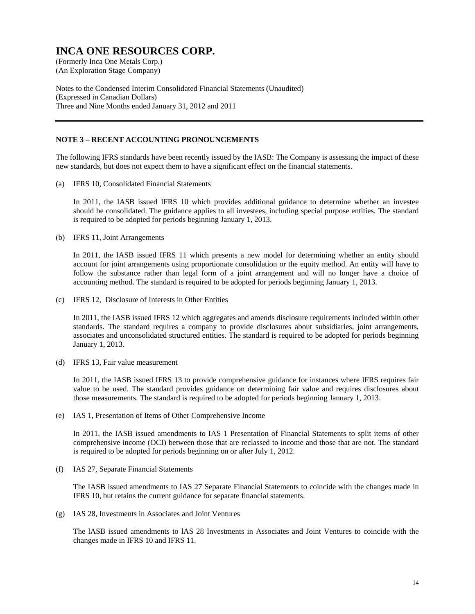(An Exploration Stage Company)

Notes to the Condensed Interim Consolidated Financial Statements (Unaudited) (Expressed in Canadian Dollars) Three and Nine Months ended January 31, 2012 and 2011

#### **NOTE 3 – RECENT ACCOUNTING PRONOUNCEMENTS**

The following IFRS standards have been recently issued by the IASB: The Company is assessing the impact of these new standards, but does not expect them to have a significant effect on the financial statements.

(a) IFRS 10, Consolidated Financial Statements

In 2011, the IASB issued IFRS 10 which provides additional guidance to determine whether an investee should be consolidated. The guidance applies to all investees, including special purpose entities. The standard is required to be adopted for periods beginning January 1, 2013.

(b) IFRS 11, Joint Arrangements

In 2011, the IASB issued IFRS 11 which presents a new model for determining whether an entity should account for joint arrangements using proportionate consolidation or the equity method. An entity will have to follow the substance rather than legal form of a joint arrangement and will no longer have a choice of accounting method. The standard is required to be adopted for periods beginning January 1, 2013.

(c) IFRS 12, Disclosure of Interests in Other Entities

In 2011, the IASB issued IFRS 12 which aggregates and amends disclosure requirements included within other standards. The standard requires a company to provide disclosures about subsidiaries, joint arrangements, associates and unconsolidated structured entities. The standard is required to be adopted for periods beginning January 1, 2013.

(d) IFRS 13, Fair value measurement

In 2011, the IASB issued IFRS 13 to provide comprehensive guidance for instances where IFRS requires fair value to be used. The standard provides guidance on determining fair value and requires disclosures about those measurements. The standard is required to be adopted for periods beginning January 1, 2013.

(e) IAS 1, Presentation of Items of Other Comprehensive Income

In 2011, the IASB issued amendments to IAS 1 Presentation of Financial Statements to split items of other comprehensive income (OCI) between those that are reclassed to income and those that are not. The standard is required to be adopted for periods beginning on or after July 1, 2012.

(f) IAS 27, Separate Financial Statements

The IASB issued amendments to IAS 27 Separate Financial Statements to coincide with the changes made in IFRS 10, but retains the current guidance for separate financial statements.

(g) IAS 28, Investments in Associates and Joint Ventures

The lASB issued amendments to lAS 28 Investments in Associates and Joint Ventures to coincide with the changes made in IFRS 10 and IFRS 11.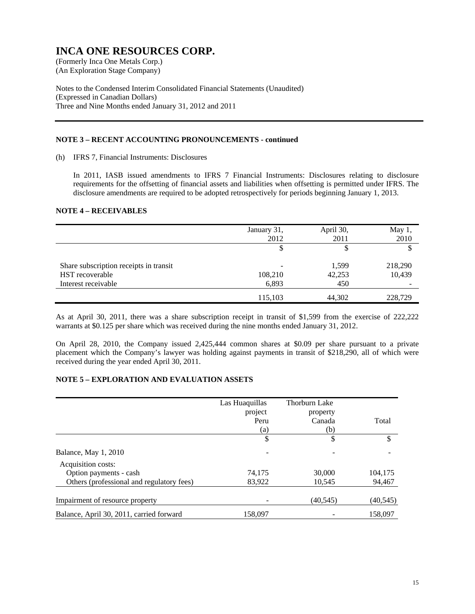(An Exploration Stage Company)

Notes to the Condensed Interim Consolidated Financial Statements (Unaudited) (Expressed in Canadian Dollars) Three and Nine Months ended January 31, 2012 and 2011

#### **NOTE 3 – RECENT ACCOUNTING PRONOUNCEMENTS - continued**

(h) IFRS 7, Financial Instruments: Disclosures

In 2011, IASB issued amendments to IFRS 7 Financial Instruments: Disclosures relating to disclosure requirements for the offsetting of financial assets and liabilities when offsetting is permitted under IFRS. The disclosure amendments are required to be adopted retrospectively for periods beginning January 1, 2013.

#### **NOTE 4 – RECEIVABLES**

|                                        | January 31,<br>2012 | April 30,<br>2011 | May $1,$<br>2010 |
|----------------------------------------|---------------------|-------------------|------------------|
|                                        | J                   |                   |                  |
| Share subscription receipts in transit | ۰                   | 1,599             | 218,290          |
| <b>HST</b> recoverable                 | 108,210             | 42,253            | 10,439           |
| Interest receivable                    | 6,893               | 450               |                  |
|                                        | 115,103             | 44,302            | 228,729          |

As at April 30, 2011, there was a share subscription receipt in transit of \$1,599 from the exercise of 222,222 warrants at \$0.125 per share which was received during the nine months ended January 31, 2012.

On April 28, 2010, the Company issued 2,425,444 common shares at \$0.09 per share pursuant to a private placement which the Company's lawyer was holding against payments in transit of \$218,290, all of which were received during the year ended April 30, 2011.

#### **NOTE 5 – EXPLORATION AND EVALUATION ASSETS**

|                                           | Las Huaquillas | Thorburn Lake |           |
|-------------------------------------------|----------------|---------------|-----------|
|                                           | project        | property      |           |
|                                           | Peru           | Canada        | Total     |
|                                           | (a)            | (b)           |           |
|                                           | \$             | \$            | \$        |
| Balance, May 1, 2010                      |                |               |           |
| Acquisition costs:                        |                |               |           |
| Option payments - cash                    | 74.175         | 30,000        | 104,175   |
| Others (professional and regulatory fees) | 83,922         | 10.545        | 94,467    |
| Impairment of resource property           |                | (40, 545)     | (40, 545) |
| Balance, April 30, 2011, carried forward  | 158,097        |               | 158,097   |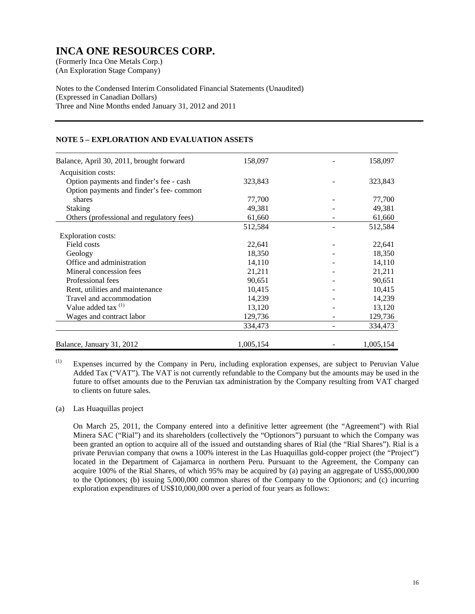(An Exploration Stage Company)

Notes to the Condensed Interim Consolidated Financial Statements (Unaudited) (Expressed in Canadian Dollars) Three and Nine Months ended January 31, 2012 and 2011

#### **NOTE 5 – EXPLORATION AND EVALUATION ASSETS**

| Balance, April 30, 2011, brought forward  | 158,097   | 158,097   |
|-------------------------------------------|-----------|-----------|
| Acquisition costs:                        |           |           |
| Option payments and finder's fee - cash   | 323,843   | 323,843   |
| Option payments and finder's fee-common   |           |           |
| shares                                    | 77,700    | 77,700    |
| <b>Staking</b>                            | 49,381    | 49,381    |
| Others (professional and regulatory fees) | 61,660    | 61,660    |
|                                           | 512,584   | 512,584   |
| Exploration costs:                        |           |           |
| Field costs                               | 22,641    | 22,641    |
| Geology                                   | 18,350    | 18,350    |
| Office and administration                 | 14,110    | 14,110    |
| Mineral concession fees                   | 21,211    | 21,211    |
| Professional fees                         | 90,651    | 90,651    |
| Rent, utilities and maintenance           | 10,415    | 10,415    |
| Travel and accommodation                  | 14,239    | 14,239    |
| Value added tax $(1)$                     | 13,120    | 13,120    |
| Wages and contract labor                  | 129,736   | 129,736   |
|                                           | 334,473   | 334,473   |
| Balance, January 31, 2012                 | 1,005,154 | 1,005,154 |

(1) Expenses incurred by the Company in Peru, including exploration expenses, are subject to Peruvian Value Added Tax ("VAT"). The VAT is not currently refundable to the Company but the amounts may be used in the future to offset amounts due to the Peruvian tax administration by the Company resulting from VAT charged to clients on future sales.

#### (a) Las Huaquillas project

On March 25, 2011, the Company entered into a definitive letter agreement (the "Agreement") with Rial Minera SAC ("Rial") and its shareholders (collectively the "Optionors") pursuant to which the Company was been granted an option to acquire all of the issued and outstanding shares of Rial (the "Rial Shares"). Rial is a private Peruvian company that owns a 100% interest in the Las Huaquillas gold-copper project (the "Project") located in the Department of Cajamarca in northern Peru. Pursuant to the Agreement, the Company can acquire 100% of the Rial Shares, of which 95% may be acquired by (a) paying an aggregate of US\$5,000,000 to the Optionors; (b) issuing 5,000,000 common shares of the Company to the Optionors; and (c) incurring exploration expenditures of US\$10,000,000 over a period of four years as follows: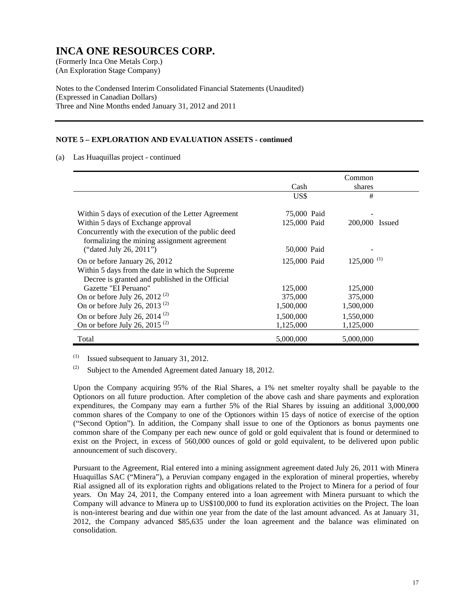(An Exploration Stage Company)

Notes to the Condensed Interim Consolidated Financial Statements (Unaudited) (Expressed in Canadian Dollars) Three and Nine Months ended January 31, 2012 and 2011

#### **NOTE 5 – EXPLORATION AND EVALUATION ASSETS - continued**

(a) Las Huaquillas project - continued

|                                                                                                   |              | Common                   |  |
|---------------------------------------------------------------------------------------------------|--------------|--------------------------|--|
|                                                                                                   | Cash         | shares                   |  |
|                                                                                                   |              | #                        |  |
|                                                                                                   | US\$         |                          |  |
| Within 5 days of execution of the Letter Agreement                                                | 75,000 Paid  |                          |  |
| Within 5 days of Exchange approval                                                                | 125,000 Paid | 200,000 Issued           |  |
| Concurrently with the execution of the public deed<br>formalizing the mining assignment agreement |              |                          |  |
| ("dated July 26, 2011")                                                                           | 50,000 Paid  |                          |  |
| On or before January 26, 2012                                                                     | 125,000 Paid | $125,000$ <sup>(1)</sup> |  |
| Within 5 days from the date in which the Supreme                                                  |              |                          |  |
| Decree is granted and published in the Official                                                   |              |                          |  |
| Gazette "EI Peruano"                                                                              | 125,000      | 125,000                  |  |
| On or before July 26, 2012 <sup>(2)</sup>                                                         | 375,000      | 375,000                  |  |
| On or before July 26, 2013 $(2)$                                                                  | 1,500,000    | 1,500,000                |  |
| On or before July 26, 2014 $(2)$                                                                  | 1,500,000    | 1,550,000                |  |
| On or before July 26, 2015 <sup>(2)</sup>                                                         | 1,125,000    | 1,125,000                |  |
| Total                                                                                             | 5,000,000    | 5,000,000                |  |

 $(1)$  Issued subsequent to January 31, 2012.

(2) Subject to the Amended Agreement dated January 18, 2012.

 Upon the Company acquiring 95% of the Rial Shares, a 1% net smelter royalty shall be payable to the Optionors on all future production. After completion of the above cash and share payments and exploration expenditures, the Company may earn a further 5% of the Rial Shares by issuing an additional 3,000,000 common shares of the Company to one of the Optionors within 15 days of notice of exercise of the option ("Second Option"). In addition, the Company shall issue to one of the Optionors as bonus payments one common share of the Company per each new ounce of gold or gold equivalent that is found or determined to exist on the Project, in excess of 560,000 ounces of gold or gold equivalent, to be delivered upon public announcement of such discovery.

Pursuant to the Agreement, Rial entered into a mining assignment agreement dated July 26, 2011 with Minera Huaquillas SAC ("Minera"), a Peruvian company engaged in the exploration of mineral properties, whereby Rial assigned all of its exploration rights and obligations related to the Project to Minera for a period of four years. On May 24, 2011, the Company entered into a loan agreement with Minera pursuant to which the Company will advance to Minera up to US\$100,000 to fund its exploration activities on the Project. The loan is non-interest bearing and due within one year from the date of the last amount advanced. As at January 31, 2012, the Company advanced \$85,635 under the loan agreement and the balance was eliminated on consolidation.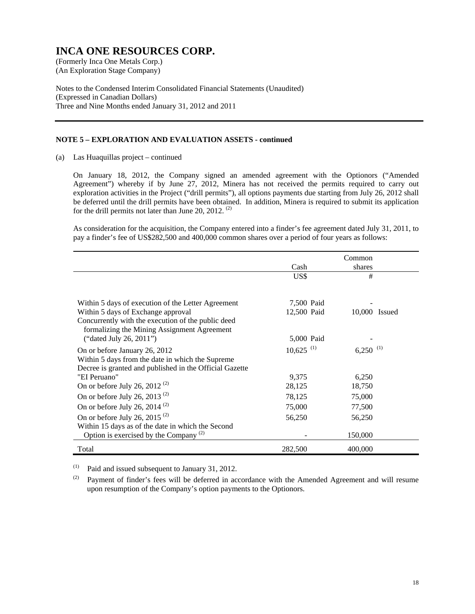(An Exploration Stage Company)

Notes to the Condensed Interim Consolidated Financial Statements (Unaudited) (Expressed in Canadian Dollars) Three and Nine Months ended January 31, 2012 and 2011

#### **NOTE 5 – EXPLORATION AND EVALUATION ASSETS - continued**

(a) Las Huaquillas project – continued

On January 18, 2012, the Company signed an amended agreement with the Optionors ("Amended Agreement") whereby if by June 27, 2012, Minera has not received the permits required to carry out exploration activities in the Project ("drill permits"), all options payments due starting from July 26, 2012 shall be deferred until the drill permits have been obtained. In addition, Minera is required to submit its application for the drill permits not later than June 20, 2012.<sup>(2)</sup>

As consideration for the acquisition, the Company entered into a finder's fee agreement dated July 31, 2011, to pay a finder's fee of US\$282,500 and 400,000 common shares over a period of four years as follows:

|                                                         |                         | Common                 |
|---------------------------------------------------------|-------------------------|------------------------|
|                                                         | Cash                    | shares                 |
|                                                         | US\$                    | #                      |
|                                                         |                         |                        |
| Within 5 days of execution of the Letter Agreement      | 7,500 Paid              |                        |
| Within 5 days of Exchange approval                      | 12,500 Paid             | 10,000 Issued          |
| Concurrently with the execution of the public deed      |                         |                        |
| formalizing the Mining Assignment Agreement             |                         |                        |
| ("dated July 26, 2011")                                 | 5,000 Paid              |                        |
| On or before January 26, 2012                           | $10,625$ <sup>(1)</sup> | $6,250$ <sup>(1)</sup> |
| Within 5 days from the date in which the Supreme        |                         |                        |
| Decree is granted and published in the Official Gazette |                         |                        |
| "EI Peruano"                                            | 9,375                   | 6,250                  |
| On or before July 26, 2012 <sup>(2)</sup>               | 28,125                  | 18,750                 |
| On or before July 26, 2013 <sup>(2)</sup>               | 78,125                  | 75,000                 |
| On or before July 26, 2014 <sup>(2)</sup>               | 75,000                  | 77,500                 |
| On or before July 26, 2015 $(2)$                        | 56,250                  | 56,250                 |
| Within 15 days as of the date in which the Second       |                         |                        |
| Option is exercised by the Company $^{(2)}$             |                         | 150,000                |
| Total                                                   | 282,500                 | 400,000                |

 $(1)$  Paid and issued subsequent to January 31, 2012.

(2) Payment of finder's fees will be deferred in accordance with the Amended Agreement and will resume upon resumption of the Company's option payments to the Optionors.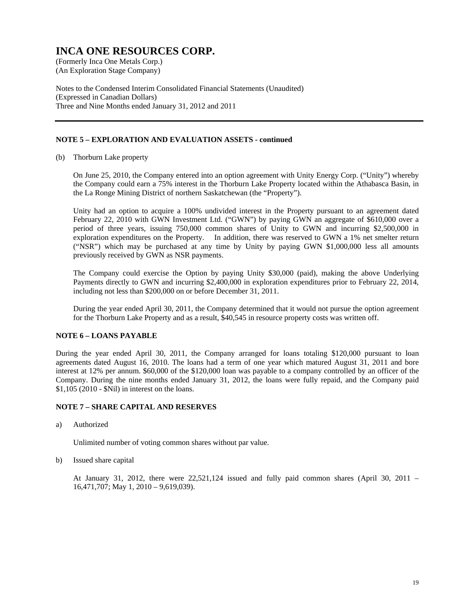(An Exploration Stage Company)

Notes to the Condensed Interim Consolidated Financial Statements (Unaudited) (Expressed in Canadian Dollars) Three and Nine Months ended January 31, 2012 and 2011

#### **NOTE 5 – EXPLORATION AND EVALUATION ASSETS - continued**

(b) Thorburn Lake property

On June 25, 2010, the Company entered into an option agreement with Unity Energy Corp. ("Unity") whereby the Company could earn a 75% interest in the Thorburn Lake Property located within the Athabasca Basin, in the La Ronge Mining District of northern Saskatchewan (the "Property").

Unity had an option to acquire a 100% undivided interest in the Property pursuant to an agreement dated February 22, 2010 with GWN Investment Ltd. ("GWN") by paying GWN an aggregate of \$610,000 over a period of three years, issuing 750,000 common shares of Unity to GWN and incurring \$2,500,000 in exploration expenditures on the Property. In addition, there was reserved to GWN a 1% net smelter return ("NSR") which may be purchased at any time by Unity by paying GWN \$1,000,000 less all amounts previously received by GWN as NSR payments.

The Company could exercise the Option by paying Unity \$30,000 (paid), making the above Underlying Payments directly to GWN and incurring \$2,400,000 in exploration expenditures prior to February 22, 2014, including not less than \$200,000 on or before December 31, 2011.

During the year ended April 30, 2011, the Company determined that it would not pursue the option agreement for the Thorburn Lake Property and as a result, \$40,545 in resource property costs was written off.

#### **NOTE 6 – LOANS PAYABLE**

During the year ended April 30, 2011, the Company arranged for loans totaling \$120,000 pursuant to loan agreements dated August 16, 2010. The loans had a term of one year which matured August 31, 2011 and bore interest at 12% per annum. \$60,000 of the \$120,000 loan was payable to a company controlled by an officer of the Company. During the nine months ended January 31, 2012, the loans were fully repaid, and the Company paid \$1,105 (2010 - \$Nil) in interest on the loans.

#### **NOTE 7 – SHARE CAPITAL AND RESERVES**

a) Authorized

Unlimited number of voting common shares without par value.

b) Issued share capital

 At January 31, 2012, there were 22,521,124 issued and fully paid common shares (April 30, 2011 – 16,471,707; May 1, 2010 – 9,619,039).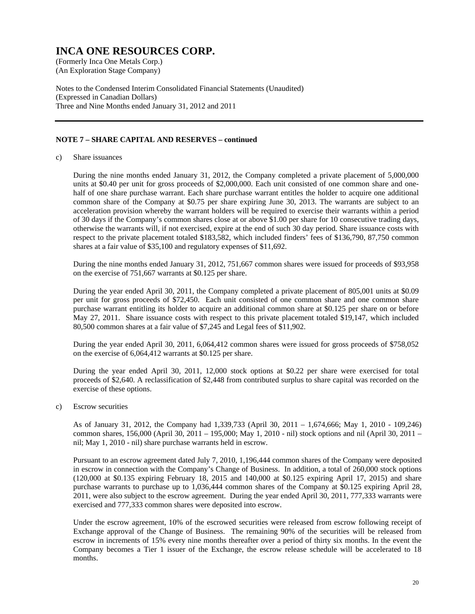(An Exploration Stage Company)

Notes to the Condensed Interim Consolidated Financial Statements (Unaudited) (Expressed in Canadian Dollars) Three and Nine Months ended January 31, 2012 and 2011

#### **NOTE 7 – SHARE CAPITAL AND RESERVES – continued**

c) Share issuances

During the nine months ended January 31, 2012, the Company completed a private placement of 5,000,000 units at \$0.40 per unit for gross proceeds of \$2,000,000. Each unit consisted of one common share and onehalf of one share purchase warrant. Each share purchase warrant entitles the holder to acquire one additional common share of the Company at \$0.75 per share expiring June 30, 2013. The warrants are subject to an acceleration provision whereby the warrant holders will be required to exercise their warrants within a period of 30 days if the Company's common shares close at or above \$1.00 per share for 10 consecutive trading days, otherwise the warrants will, if not exercised, expire at the end of such 30 day period. Share issuance costs with respect to the private placement totaled \$183,582, which included finders' fees of \$136,790, 87,750 common shares at a fair value of \$35,100 and regulatory expenses of \$11,692.

 During the nine months ended January 31, 2012, 751,667 common shares were issued for proceeds of \$93,958 on the exercise of 751,667 warrants at \$0.125 per share.

 During the year ended April 30, 2011, the Company completed a private placement of 805,001 units at \$0.09 per unit for gross proceeds of \$72,450. Each unit consisted of one common share and one common share purchase warrant entitling its holder to acquire an additional common share at \$0.125 per share on or before May 27, 2011. Share issuance costs with respect to this private placement totaled \$19,147, which included 80,500 common shares at a fair value of \$7,245 and Legal fees of \$11,902.

 During the year ended April 30, 2011, 6,064,412 common shares were issued for gross proceeds of \$758,052 on the exercise of 6,064,412 warrants at \$0.125 per share.

 During the year ended April 30, 2011, 12,000 stock options at \$0.22 per share were exercised for total proceeds of \$2,640. A reclassification of \$2,448 from contributed surplus to share capital was recorded on the exercise of these options.

c) Escrow securities

As of January 31, 2012, the Company had 1,339,733 (April 30, 2011 – 1,674,666; May 1, 2010 - 109,246) common shares, 156,000 (April 30, 2011 – 195,000; May 1, 2010 - nil) stock options and nil (April 30, 2011 – nil; May 1, 2010 - nil) share purchase warrants held in escrow.

Pursuant to an escrow agreement dated July 7, 2010, 1,196,444 common shares of the Company were deposited in escrow in connection with the Company's Change of Business. In addition, a total of 260,000 stock options (120,000 at \$0.135 expiring February 18, 2015 and 140,000 at \$0.125 expiring April 17, 2015) and share purchase warrants to purchase up to 1,036,444 common shares of the Company at \$0.125 expiring April 28, 2011, were also subject to the escrow agreement. During the year ended April 30, 2011, 777,333 warrants were exercised and 777,333 common shares were deposited into escrow.

Under the escrow agreement, 10% of the escrowed securities were released from escrow following receipt of Exchange approval of the Change of Business. The remaining 90% of the securities will be released from escrow in increments of 15% every nine months thereafter over a period of thirty six months. In the event the Company becomes a Tier 1 issuer of the Exchange, the escrow release schedule will be accelerated to 18 months.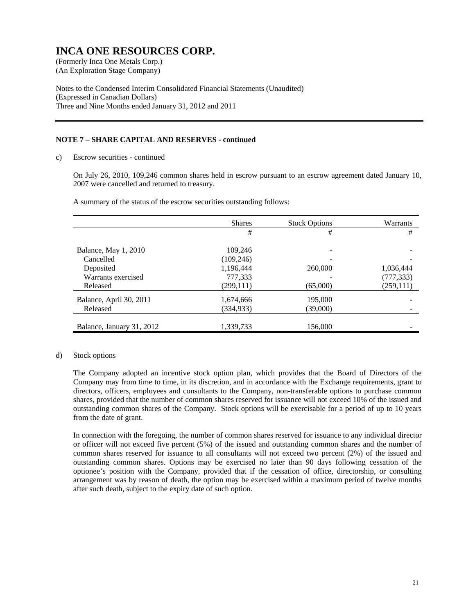(An Exploration Stage Company)

Notes to the Condensed Interim Consolidated Financial Statements (Unaudited) (Expressed in Canadian Dollars) Three and Nine Months ended January 31, 2012 and 2011

#### **NOTE 7 – SHARE CAPITAL AND RESERVES - continued**

c) Escrow securities - continued

On July 26, 2010, 109,246 common shares held in escrow pursuant to an escrow agreement dated January 10, 2007 were cancelled and returned to treasury.

|                           | <b>Shares</b> | <b>Stock Options</b> | Warrants   |
|---------------------------|---------------|----------------------|------------|
|                           | #             | #                    | #          |
| Balance, May 1, 2010      | 109,246       |                      |            |
| Cancelled                 | (109, 246)    |                      |            |
| Deposited                 | 1,196,444     | 260,000              | 1,036,444  |
| Warrants exercised        | 777,333       |                      | (777, 333) |
| Released                  | (299, 111)    | (65,000)             | (259, 111) |
| Balance, April 30, 2011   | 1,674,666     | 195,000              |            |
| Released                  | (334, 933)    | (39,000)             |            |
|                           |               |                      |            |
| Balance, January 31, 2012 | 1,339,733     | 156,000              |            |

A summary of the status of the escrow securities outstanding follows:

#### d) Stock options

The Company adopted an incentive stock option plan, which provides that the Board of Directors of the Company may from time to time, in its discretion, and in accordance with the Exchange requirements, grant to directors, officers, employees and consultants to the Company, non-transferable options to purchase common shares, provided that the number of common shares reserved for issuance will not exceed 10% of the issued and outstanding common shares of the Company. Stock options will be exercisable for a period of up to 10 years from the date of grant.

In connection with the foregoing, the number of common shares reserved for issuance to any individual director or officer will not exceed five percent (5%) of the issued and outstanding common shares and the number of common shares reserved for issuance to all consultants will not exceed two percent (2%) of the issued and outstanding common shares. Options may be exercised no later than 90 days following cessation of the optionee's position with the Company, provided that if the cessation of office, directorship, or consulting arrangement was by reason of death, the option may be exercised within a maximum period of twelve months after such death, subject to the expiry date of such option.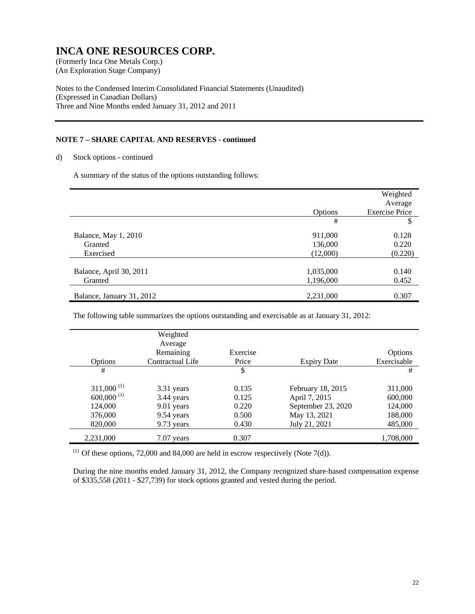(An Exploration Stage Company)

Notes to the Condensed Interim Consolidated Financial Statements (Unaudited) (Expressed in Canadian Dollars) Three and Nine Months ended January 31, 2012 and 2011

#### **NOTE 7 – SHARE CAPITAL AND RESERVES - continued**

d) Stock options - continued

A summary of the status of the options outstanding follows:

|                                              | Options                        | Weighted<br>Average<br><b>Exercise Price</b> |
|----------------------------------------------|--------------------------------|----------------------------------------------|
|                                              | #                              | \$.                                          |
| Balance, May 1, 2010<br>Granted<br>Exercised | 911,000<br>136,000<br>(12,000) | 0.128<br>0.220<br>(0.220)                    |
|                                              |                                |                                              |
| Balance, April 30, 2011<br>Granted           | 1,035,000<br>1,196,000         | 0.140<br>0.452                               |
| Balance, January 31, 2012                    | 2,231,000                      | 0.307                                        |

The following table summarizes the options outstanding and exercisable as at January 31, 2012:

|                          | Weighted<br>Average |          |                    |             |
|--------------------------|---------------------|----------|--------------------|-------------|
|                          | Remaining           | Exercise |                    | Options     |
| Options                  | Contractual Life    | Price    | <b>Expiry Date</b> | Exercisable |
| #                        |                     | \$       |                    | #           |
|                          |                     |          |                    |             |
| $311,000^{(1)}$          | 3.31 years          | 0.135    | February 18, 2015  | 311,000     |
| $600,000$ <sup>(1)</sup> | 3.44 years          | 0.125    | April 7, 2015      | 600,000     |
| 124,000                  | 9.01 years          | 0.220    | September 23, 2020 | 124,000     |
| 376,000                  | 9.54 years          | 0.500    | May 13, 2021       | 188,000     |
| 820,000                  | 9.73 years          | 0.430    | July 21, 2021      | 485,000     |
| 2,231,000                | $7.07$ years        | 0.307    |                    | 1,708,000   |

 $(1)$  Of these options, 72,000 and 84,000 are held in escrow respectively (Note 7(d)).

During the nine months ended January 31, 2012, the Company recognized share-based compensation expense of \$335,558 (2011 - \$27,739) for stock options granted and vested during the period.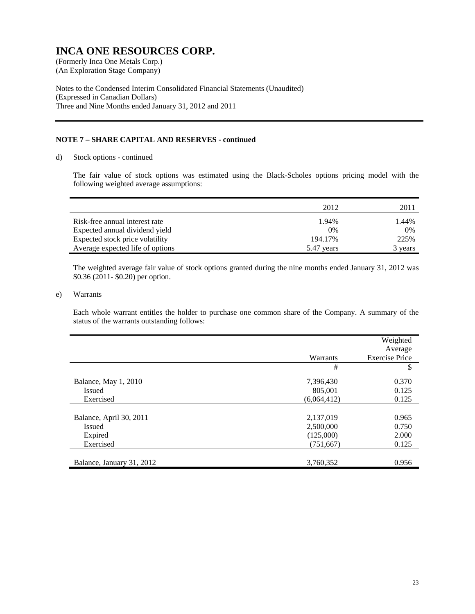(An Exploration Stage Company)

Notes to the Condensed Interim Consolidated Financial Statements (Unaudited) (Expressed in Canadian Dollars) Three and Nine Months ended January 31, 2012 and 2011

#### **NOTE 7 – SHARE CAPITAL AND RESERVES - continued**

d) Stock options - continued

The fair value of stock options was estimated using the Black-Scholes options pricing model with the following weighted average assumptions:

|                                  | 2012       | 2011    |
|----------------------------------|------------|---------|
| Risk-free annual interest rate   | 1.94%      | 1.44%   |
| Expected annual dividend yield   | $0\%$      | 0%      |
| Expected stock price volatility  | 194.17%    | 225%    |
| Average expected life of options | 5.47 years | 3 years |

The weighted average fair value of stock options granted during the nine months ended January 31, 2012 was \$0.36 (2011- \$0.20) per option.

#### e) Warrants

Each whole warrant entitles the holder to purchase one common share of the Company. A summary of the status of the warrants outstanding follows:

|                           | Warrants    | Weighted<br>Average<br><b>Exercise Price</b> |
|---------------------------|-------------|----------------------------------------------|
|                           | #           | \$                                           |
| Balance, May 1, 2010      | 7,396,430   | 0.370                                        |
| <b>Issued</b>             | 805,001     | 0.125                                        |
| Exercised                 | (6,064,412) | 0.125                                        |
|                           |             |                                              |
| Balance, April 30, 2011   | 2,137,019   | 0.965                                        |
| <b>Issued</b>             | 2,500,000   | 0.750                                        |
| Expired                   | (125,000)   | 2.000                                        |
| Exercised                 | (751, 667)  | 0.125                                        |
|                           |             |                                              |
| Balance, January 31, 2012 | 3,760,352   | 0.956                                        |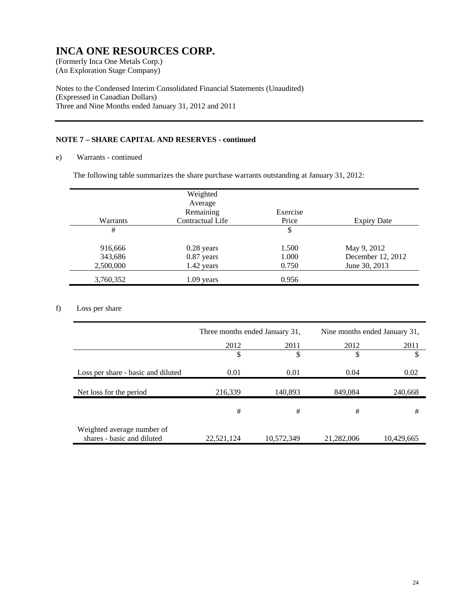(An Exploration Stage Company)

Notes to the Condensed Interim Consolidated Financial Statements (Unaudited) (Expressed in Canadian Dollars) Three and Nine Months ended January 31, 2012 and 2011

#### **NOTE 7 – SHARE CAPITAL AND RESERVES - continued**

#### e) Warrants - continued

The following table summarizes the share purchase warrants outstanding at January 31, 2012:

|           | Weighted         |          |                    |
|-----------|------------------|----------|--------------------|
|           | Average          |          |                    |
|           | Remaining        | Exercise |                    |
| Warrants  | Contractual Life | Price    | <b>Expiry Date</b> |
| #         |                  | \$       |                    |
|           |                  |          |                    |
| 916,666   | $0.28$ years     | 1.500    | May 9, 2012        |
| 343,686   | 0.87 years       | 1.000    | December 12, 2012  |
| 2,500,000 | 1.42 years       | 0.750    | June 30, 2013      |
| 3,760,352 | $1.09$ years     | 0.956    |                    |

#### f) Loss per share

|                                                          |            |                                                                                                                                                          | Nine months ended January 31, |            |  |  |
|----------------------------------------------------------|------------|----------------------------------------------------------------------------------------------------------------------------------------------------------|-------------------------------|------------|--|--|
|                                                          | 2012       | Three months ended January 31,<br>2011<br>2012<br>2011<br>\$<br>S<br>S<br>S<br>0.04<br>0.02<br>0.01<br>140,893<br>849,084<br>240,668<br>#<br>#<br>#<br># |                               |            |  |  |
|                                                          |            |                                                                                                                                                          |                               |            |  |  |
| Loss per share - basic and diluted                       | 0.01       |                                                                                                                                                          |                               |            |  |  |
| Net loss for the period                                  | 216,339    |                                                                                                                                                          |                               |            |  |  |
|                                                          |            |                                                                                                                                                          |                               |            |  |  |
| Weighted average number of<br>shares - basic and diluted | 22,521,124 | 10,572,349                                                                                                                                               | 21,282,006                    | 10,429,665 |  |  |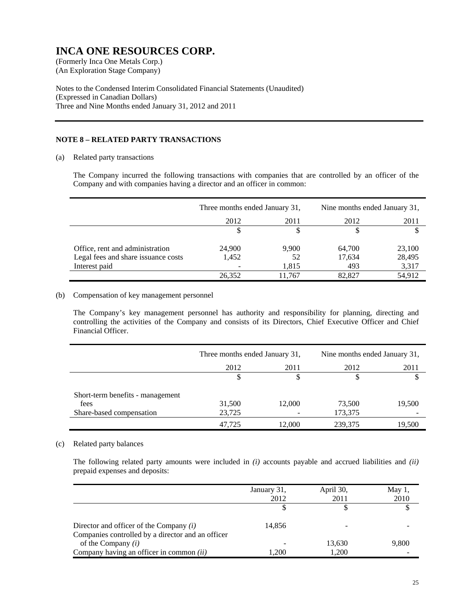(An Exploration Stage Company)

Notes to the Condensed Interim Consolidated Financial Statements (Unaudited) (Expressed in Canadian Dollars) Three and Nine Months ended January 31, 2012 and 2011

#### **NOTE 8 – RELATED PARTY TRANSACTIONS**

(a) Related party transactions

The Company incurred the following transactions with companies that are controlled by an officer of the Company and with companies having a director and an officer in common:

|                                     | Three months ended January 31, |        | Nine months ended January 31, |        |  |
|-------------------------------------|--------------------------------|--------|-------------------------------|--------|--|
|                                     | 2012                           | 2011   | 2012                          | 2011   |  |
|                                     |                                |        |                               |        |  |
| Office, rent and administration     | 24,900                         | 9,900  | 64,700                        | 23,100 |  |
| Legal fees and share issuance costs | 1,452                          | 52     | 17,634                        | 28,495 |  |
| Interest paid                       |                                | 1,815  | 493                           | 3,317  |  |
|                                     | 26,352                         | 11,767 | 82,827                        | 54,912 |  |

#### (b) Compensation of key management personnel

The Company's key management personnel has authority and responsibility for planning, directing and controlling the activities of the Company and consists of its Directors, Chief Executive Officer and Chief Financial Officer.

|                                  | Three months ended January 31, |        | Nine months ended January 31, |        |  |  |
|----------------------------------|--------------------------------|--------|-------------------------------|--------|--|--|
|                                  | 2012                           | 2011   | 2012                          | 2011   |  |  |
|                                  |                                | S      |                               |        |  |  |
| Short-term benefits - management |                                |        |                               |        |  |  |
| fees                             | 31,500                         | 12,000 | 73,500                        | 19,500 |  |  |
| Share-based compensation         | 23,725                         |        | 173,375                       |        |  |  |
|                                  | 47.725                         | 12,000 | 239,375                       | 19,500 |  |  |

#### (c) Related party balances

The following related party amounts were included in *(i)* accounts payable and accrued liabilities and *(ii)* prepaid expenses and deposits:

|                                                   | January 31, | April 30, | May $1$ , |
|---------------------------------------------------|-------------|-----------|-----------|
|                                                   | 2012        | 2011      | 2010      |
|                                                   |             |           |           |
| Director and officer of the Company $(i)$         | 14.856      |           |           |
| Companies controlled by a director and an officer |             |           |           |
| of the Company $(i)$                              |             | 13,630    | 9,800     |
| Company having an officer in common $(ii)$        | 1.200       | 1.200     |           |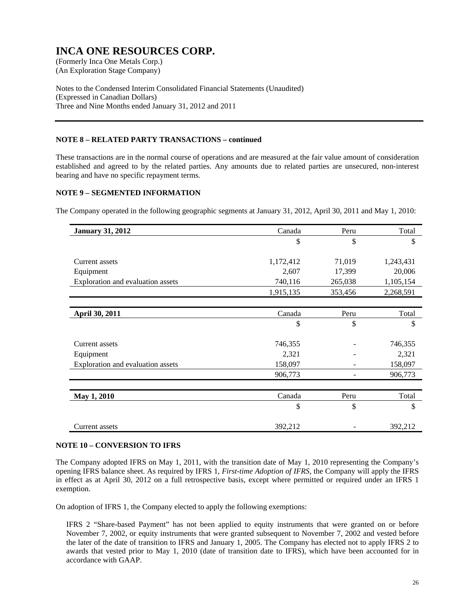(An Exploration Stage Company)

Notes to the Condensed Interim Consolidated Financial Statements (Unaudited) (Expressed in Canadian Dollars) Three and Nine Months ended January 31, 2012 and 2011

#### **NOTE 8 – RELATED PARTY TRANSACTIONS – continued**

These transactions are in the normal course of operations and are measured at the fair value amount of consideration established and agreed to by the related parties. Any amounts due to related parties are unsecured, non-interest bearing and have no specific repayment terms.

#### **NOTE 9 – SEGMENTED INFORMATION**

The Company operated in the following geographic segments at January 31, 2012, April 30, 2011 and May 1, 2010:

| <b>January 31, 2012</b>           | Canada    | Peru    | Total     |
|-----------------------------------|-----------|---------|-----------|
|                                   | \$        | \$      | \$        |
|                                   |           |         |           |
| Current assets                    | 1,172,412 | 71,019  | 1,243,431 |
| Equipment                         | 2,607     | 17,399  | 20,006    |
| Exploration and evaluation assets | 740,116   | 265,038 | 1,105,154 |
|                                   | 1,915,135 | 353,456 | 2,268,591 |
|                                   |           |         |           |
| April 30, 2011                    | Canada    | Peru    | Total     |
|                                   | \$        | \$      | \$        |
| Current assets                    | 746,355   |         | 746,355   |
| Equipment                         | 2,321     |         | 2,321     |
| Exploration and evaluation assets | 158,097   |         | 158,097   |
|                                   | 906,773   |         | 906,773   |
|                                   |           |         |           |
| May 1, 2010                       | Canada    | Peru    | Total     |
|                                   | \$        | \$      | \$        |
| Current assets                    | 392,212   |         | 392,212   |

#### **NOTE 10 – CONVERSION TO IFRS**

The Company adopted IFRS on May 1, 2011, with the transition date of May 1, 2010 representing the Company's opening IFRS balance sheet. As required by IFRS 1, *First-time Adoption of IFRS*, the Company will apply the IFRS in effect as at April 30, 2012 on a full retrospective basis, except where permitted or required under an IFRS 1 exemption.

On adoption of IFRS 1, the Company elected to apply the following exemptions:

IFRS 2 "Share-based Payment" has not been applied to equity instruments that were granted on or before November 7, 2002, or equity instruments that were granted subsequent to November 7, 2002 and vested before the later of the date of transition to IFRS and January 1, 2005. The Company has elected not to apply IFRS 2 to awards that vested prior to May 1, 2010 (date of transition date to IFRS), which have been accounted for in accordance with GAAP.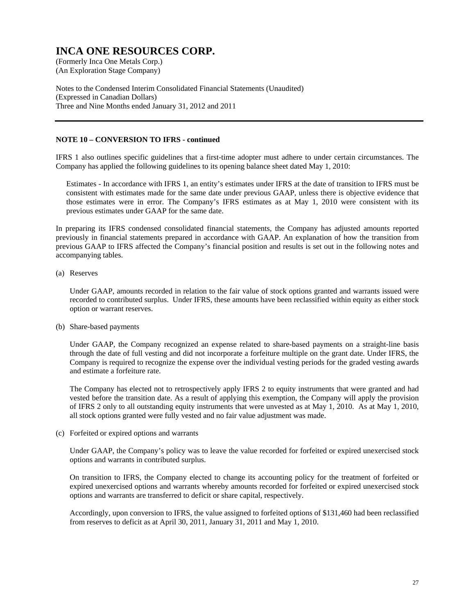(An Exploration Stage Company)

Notes to the Condensed Interim Consolidated Financial Statements (Unaudited) (Expressed in Canadian Dollars) Three and Nine Months ended January 31, 2012 and 2011

#### **NOTE 10 – CONVERSION TO IFRS - continued**

IFRS 1 also outlines specific guidelines that a first-time adopter must adhere to under certain circumstances. The Company has applied the following guidelines to its opening balance sheet dated May 1, 2010:

Estimates - In accordance with IFRS 1, an entity's estimates under IFRS at the date of transition to IFRS must be consistent with estimates made for the same date under previous GAAP, unless there is objective evidence that those estimates were in error. The Company's IFRS estimates as at May 1, 2010 were consistent with its previous estimates under GAAP for the same date.

In preparing its IFRS condensed consolidated financial statements, the Company has adjusted amounts reported previously in financial statements prepared in accordance with GAAP. An explanation of how the transition from previous GAAP to IFRS affected the Company's financial position and results is set out in the following notes and accompanying tables.

#### (a) Reserves

Under GAAP, amounts recorded in relation to the fair value of stock options granted and warrants issued were recorded to contributed surplus. Under IFRS, these amounts have been reclassified within equity as either stock option or warrant reserves.

(b) Share-based payments

Under GAAP, the Company recognized an expense related to share-based payments on a straight-line basis through the date of full vesting and did not incorporate a forfeiture multiple on the grant date. Under IFRS, the Company is required to recognize the expense over the individual vesting periods for the graded vesting awards and estimate a forfeiture rate.

The Company has elected not to retrospectively apply IFRS 2 to equity instruments that were granted and had vested before the transition date. As a result of applying this exemption, the Company will apply the provision of IFRS 2 only to all outstanding equity instruments that were unvested as at May 1, 2010. As at May 1, 2010, all stock options granted were fully vested and no fair value adjustment was made.

(c) Forfeited or expired options and warrants

Under GAAP, the Company's policy was to leave the value recorded for forfeited or expired unexercised stock options and warrants in contributed surplus.

On transition to IFRS, the Company elected to change its accounting policy for the treatment of forfeited or expired unexercised options and warrants whereby amounts recorded for forfeited or expired unexercised stock options and warrants are transferred to deficit or share capital, respectively.

Accordingly, upon conversion to IFRS, the value assigned to forfeited options of \$131,460 had been reclassified from reserves to deficit as at April 30, 2011, January 31, 2011 and May 1, 2010.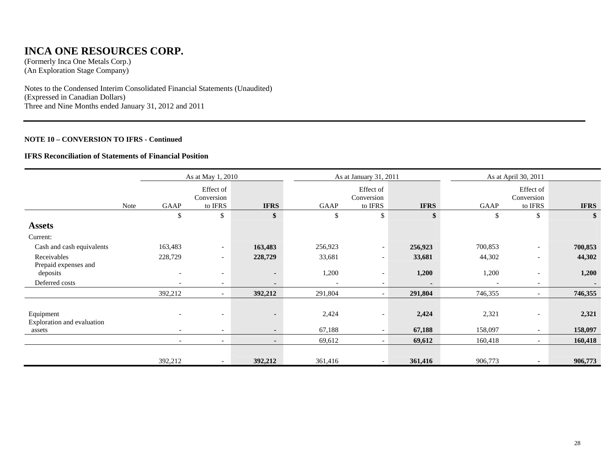### **INCA ONE RESOURCES CORP.**

(Formerly Inca One Metals Corp.) (An Exploration Stage Company)

Notes to the Condensed Interim Consolidated Financial Statements (Unaudited) (Expressed in Canadian Dollars) Three and Nine Months ended January 31, 2012 and 2011

#### **NOTE 10 – CONVERSION TO IFRS - Continued**

#### **IFRS Reconciliation of Statements of Financial Position**

|                                         | As at May 1, 2010 |                          |                                    |                |         | As at January 31, 2011             |             |         | As at April 30, 2011               |             |  |
|-----------------------------------------|-------------------|--------------------------|------------------------------------|----------------|---------|------------------------------------|-------------|---------|------------------------------------|-------------|--|
|                                         | Note              | GAAP                     | Effect of<br>Conversion<br>to IFRS | <b>IFRS</b>    | GAAP    | Effect of<br>Conversion<br>to IFRS | <b>IFRS</b> | GAAP    | Effect of<br>Conversion<br>to IFRS | <b>IFRS</b> |  |
|                                         |                   | \$                       | \$                                 | \$             | \$      | \$                                 |             | \$      | \$                                 |             |  |
| <b>Assets</b>                           |                   |                          |                                    |                |         |                                    |             |         |                                    |             |  |
| Current:                                |                   |                          |                                    |                |         |                                    |             |         |                                    |             |  |
| Cash and cash equivalents               |                   | 163,483                  | $\overline{\phantom{a}}$           | 163,483        | 256,923 | $\overline{\phantom{a}}$           | 256,923     | 700,853 |                                    | 700,853     |  |
| Receivables                             |                   | 228,729                  | $\overline{\phantom{a}}$           | 228,729        | 33,681  | $\overline{\phantom{a}}$           | 33,681      | 44,302  |                                    | 44,302      |  |
| Prepaid expenses and<br>deposits        |                   |                          | $\overline{\phantom{0}}$           | $\blacksquare$ | 1,200   | $\overline{\phantom{a}}$           | 1,200       | 1,200   | $\overline{\phantom{a}}$           | 1,200       |  |
| Deferred costs                          |                   |                          |                                    |                |         | $\overline{\phantom{a}}$           |             |         | $\overline{\phantom{a}}$           |             |  |
|                                         |                   | 392,212                  |                                    | 392,212        | 291,804 | $\overline{\phantom{a}}$           | 291,804     | 746,355 | $\overline{\phantom{0}}$           | 746,355     |  |
| Equipment<br>Exploration and evaluation |                   |                          |                                    | $\blacksquare$ | 2,424   | $\overline{\phantom{a}}$           | 2,424       | 2,321   | $\overline{\phantom{a}}$           | 2,321       |  |
| assets                                  |                   | $\overline{\phantom{a}}$ | $\overline{\phantom{0}}$           | $\sim$         | 67,188  | $\overline{\phantom{a}}$           | 67,188      | 158,097 | $\overline{\phantom{0}}$           | 158,097     |  |
|                                         |                   | $\overline{\phantom{a}}$ | $\overline{\phantom{a}}$           | $\blacksquare$ | 69,612  |                                    | 69,612      | 160,418 | $\overline{\phantom{0}}$           | 160,418     |  |
|                                         |                   | 392,212                  | $\overline{\phantom{a}}$           | 392,212        | 361,416 | $\overline{\phantom{a}}$           | 361,416     | 906,773 |                                    | 906,773     |  |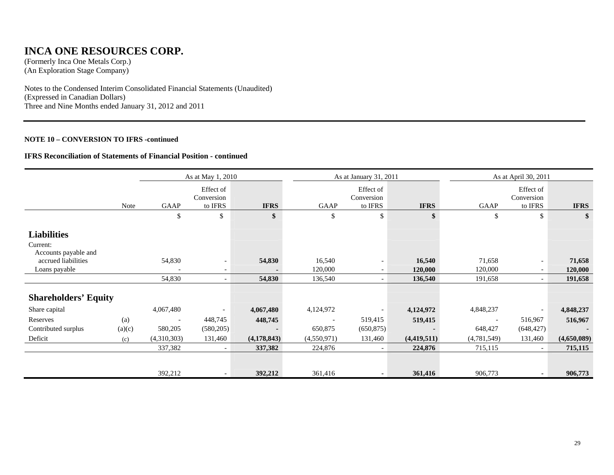### **INCA ONE RESOURCES CORP.**

(Formerly Inca One Metals Corp.) (An Exploration Stage Company)

Notes to the Condensed Interim Consolidated Financial Statements (Unaudited) (Expressed in Canadian Dollars) Three and Nine Months ended January 31, 2012 and 2011

#### **NOTE 10 – CONVERSION TO IFRS -continued**

#### **IFRS Reconciliation of Statements of Financial Position - continued**

|                                                        | As at May 1, 2010 |                          |                                    |             |             | As at January 31, 2011             |             | As at April 30, 2011 |                                    |             |
|--------------------------------------------------------|-------------------|--------------------------|------------------------------------|-------------|-------------|------------------------------------|-------------|----------------------|------------------------------------|-------------|
|                                                        | Note              | GAAP                     | Effect of<br>Conversion<br>to IFRS | <b>IFRS</b> | GAAP        | Effect of<br>Conversion<br>to IFRS | <b>IFRS</b> | GAAP                 | Effect of<br>Conversion<br>to IFRS | <b>IFRS</b> |
|                                                        |                   | \$                       | \$                                 | \$          | \$          | \$                                 | \$          | \$                   | \$                                 | \$          |
| <b>Liabilities</b><br>Current:<br>Accounts payable and |                   |                          |                                    |             |             |                                    |             |                      |                                    |             |
| accrued liabilities                                    |                   | 54,830                   |                                    | 54,830      | 16,540      | $\overline{\phantom{a}}$           | 16,540      | 71,658               | $\overline{\phantom{a}}$           | 71,658      |
| Loans payable                                          |                   | $\blacksquare$           | $\overline{\phantom{a}}$           |             | 120,000     | $\overline{\phantom{a}}$           | 120,000     | 120,000              | $\overline{\phantom{0}}$           | 120,000     |
|                                                        |                   | 54,830                   | $\overline{\phantom{a}}$           | 54,830      | 136,540     |                                    | 136,540     | 191,658              | $\sim$                             | 191,658     |
| <b>Shareholders' Equity</b>                            |                   |                          |                                    |             |             |                                    |             |                      |                                    |             |
| Share capital                                          |                   | 4,067,480                | $\overline{\phantom{a}}$           | 4,067,480   | 4,124,972   |                                    | 4,124,972   | 4,848,237            |                                    | 4,848,237   |
| Reserves                                               | (a)               | $\overline{\phantom{a}}$ | 448,745                            | 448,745     |             | 519,415                            | 519,415     | $\blacksquare$       | 516,967                            | 516,967     |
| Contributed surplus                                    | (a)(c)            | 580,205                  | (580, 205)                         |             | 650,875     | (650, 875)                         |             | 648,427              | (648, 427)                         |             |
| Deficit                                                | (c)               | (4,310,303)              | 131,460                            | (4,178,843) | (4,550,971) | 131,460                            | (4,419,511) | (4,781,549)          | 131,460                            | (4,650,089) |
|                                                        |                   | 337,382                  | $\overline{\phantom{a}}$           | 337,382     | 224,876     |                                    | 224,876     | 715,115              |                                    | 715,115     |
|                                                        |                   | 392,212                  | $\overline{\phantom{a}}$           | 392,212     | 361,416     | $\sim$                             | 361,416     | 906,773              | $\sim$                             | 906,773     |